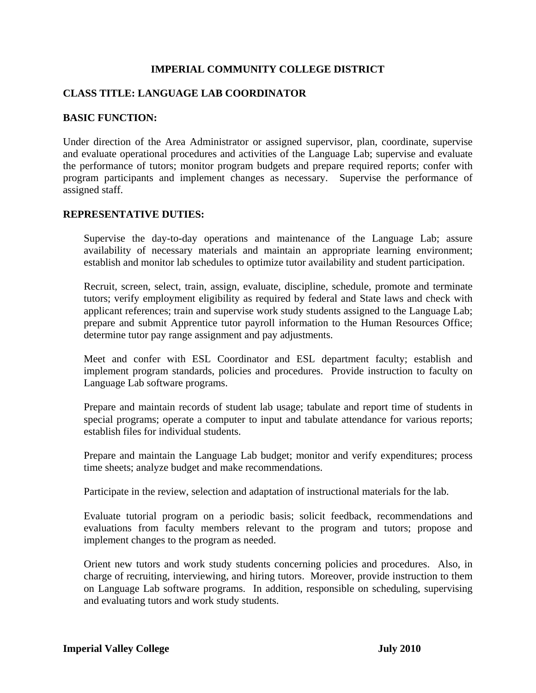# **IMPERIAL COMMUNITY COLLEGE DISTRICT**

# **CLASS TITLE: LANGUAGE LAB COORDINATOR**

## **BASIC FUNCTION:**

Under direction of the Area Administrator or assigned supervisor, plan, coordinate, supervise and evaluate operational procedures and activities of the Language Lab; supervise and evaluate the performance of tutors; monitor program budgets and prepare required reports; confer with program participants and implement changes as necessary. Supervise the performance of assigned staff.

## **REPRESENTATIVE DUTIES:**

Supervise the day-to-day operations and maintenance of the Language Lab; assure availability of necessary materials and maintain an appropriate learning environment; establish and monitor lab schedules to optimize tutor availability and student participation.

Recruit, screen, select, train, assign, evaluate, discipline, schedule, promote and terminate tutors; verify employment eligibility as required by federal and State laws and check with applicant references; train and supervise work study students assigned to the Language Lab; prepare and submit Apprentice tutor payroll information to the Human Resources Office; determine tutor pay range assignment and pay adjustments.

Meet and confer with ESL Coordinator and ESL department faculty; establish and implement program standards, policies and procedures. Provide instruction to faculty on Language Lab software programs.

Prepare and maintain records of student lab usage; tabulate and report time of students in special programs; operate a computer to input and tabulate attendance for various reports; establish files for individual students.

Prepare and maintain the Language Lab budget; monitor and verify expenditures; process time sheets; analyze budget and make recommendations.

Participate in the review, selection and adaptation of instructional materials for the lab.

Evaluate tutorial program on a periodic basis; solicit feedback, recommendations and evaluations from faculty members relevant to the program and tutors; propose and implement changes to the program as needed.

Orient new tutors and work study students concerning policies and procedures. Also, in charge of recruiting, interviewing, and hiring tutors. Moreover, provide instruction to them on Language Lab software programs. In addition, responsible on scheduling, supervising and evaluating tutors and work study students.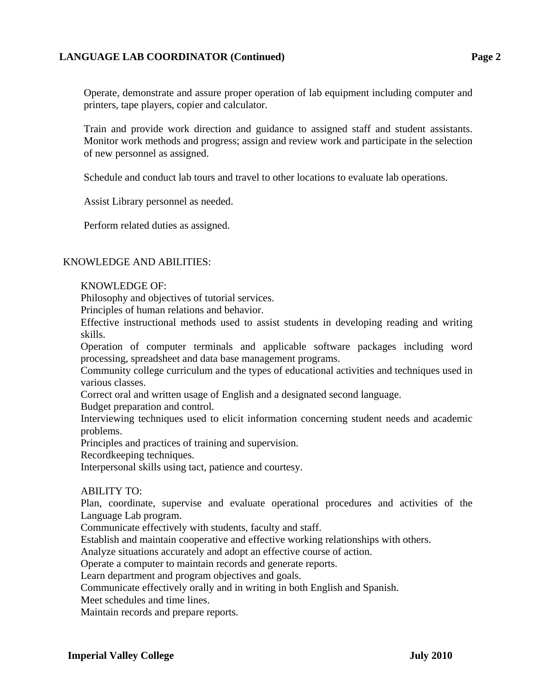## **LANGUAGE LAB COORDINATOR (Continued) Page 2**

Operate, demonstrate and assure proper operation of lab equipment including computer and printers, tape players, copier and calculator.

Train and provide work direction and guidance to assigned staff and student assistants. Monitor work methods and progress; assign and review work and participate in the selection of new personnel as assigned.

Schedule and conduct lab tours and travel to other locations to evaluate lab operations.

Assist Library personnel as needed.

Perform related duties as assigned.

## KNOWLEDGE AND ABILITIES:

### KNOWLEDGE OF:

Philosophy and objectives of tutorial services.

Principles of human relations and behavior.

Effective instructional methods used to assist students in developing reading and writing skills.

Operation of computer terminals and applicable software packages including word processing, spreadsheet and data base management programs.

Community college curriculum and the types of educational activities and techniques used in various classes.

Correct oral and written usage of English and a designated second language.

Budget preparation and control.

Interviewing techniques used to elicit information concerning student needs and academic problems.

Principles and practices of training and supervision.

Recordkeeping techniques.

Interpersonal skills using tact, patience and courtesy.

#### ABILITY TO:

Plan, coordinate, supervise and evaluate operational procedures and activities of the Language Lab program.

Communicate effectively with students, faculty and staff.

Establish and maintain cooperative and effective working relationships with others.

Analyze situations accurately and adopt an effective course of action.

Operate a computer to maintain records and generate reports.

Learn department and program objectives and goals.

Communicate effectively orally and in writing in both English and Spanish.

Meet schedules and time lines.

Maintain records and prepare reports.